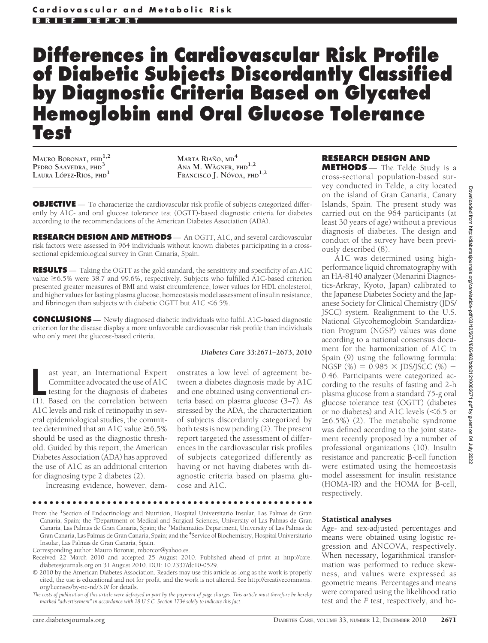# **Differences in Cardiovascular Risk Profile of Diabetic Subjects Discordantly Classified by Diagnostic Criteria Based on Glycated Hemoglobin and Oral Glucose Tolerance Test**

**MAURO BORONAT, PHD1,2 PEDRO SAAVEDRA, PHD<sup>3</sup> LAURA L´OPEZ-RÍOS, PHD<sup>1</sup>**

**MARTA RIAÑO**, MD<sup><sup>4</sup></sup>  $A$ <sub>NA</sub>  $M$ . Wägner,  $PHD$ <sup>1,2</sup> **FRANCISCO J. N´OVOA, PHD1,2**

**OBJECTIVE** — To characterize the cardiovascular risk profile of subjects categorized differently by A1C- and oral glucose tolerance test (OGTT)-based diagnostic criteria for diabetes according to the recommendations of the American Diabetes Association (ADA).

**RESEARCH DESIGN AND METHODS** — An OGTT, A1C, and several cardiovascular risk factors were assessed in 964 individuals without known diabetes participating in a crosssectional epidemiological survey in Gran Canaria, Spain.

**RESULTS** — Taking the OGTT as the gold standard, the sensitivity and specificity of an A1C value  $\geq$  6.5% were 38.7 and 99.6%, respectively. Subjects who fulfilled A1C-based criterion presented greater measures of BMI and waist circumference, lower values for HDL cholesterol, and higher values for fasting plasma glucose, homeostasis model assessment of insulin resistance, and fibrinogen than subjects with diabetic OGTT but A1C  $<$  6.5%.

**CONCLUSIONS** — Newly diagnosed diabetic individuals who fulfill A1C-based diagnostic criterion for the disease display a more unfavorable cardiovascular risk profile than individuals who only meet the glucose-based criteria.

ast year, an International Expert<br>
Committee advocated the use of A1C<br>
testing for the diagnosis of diabetes<br>
(1). Based on the correlation between ast year, an International Expert Committee advocated the use of A1C testing for the diagnosis of diabetes A1C levels and risk of retinopathy in several epidemiological studies, the committee determined that an A1C value  $\geq 6.5\%$ should be used as the diagnostic threshold. Guided by this report, the American Diabetes Association (ADA) has approved the use of A1C as an additional criterion for diagnosing type 2 diabetes (2).

Increasing evidence, however, dem-

## *Diabetes Care* **33:2671–2673, 2010**

onstrates a low level of agreement between a diabetes diagnosis made by A1C and one obtained using conventional criteria based on plasma glucose (3–7). As stressed by the ADA, the characterization of subjects discordantly categorized by both tests is now pending (2). The present report targeted the assessment of differences in the cardiovascular risk profiles of subjects categorized differently as having or not having diabetes with diagnostic criteria based on plasma glucose and A1C.

#### ●●●●●●●●●●●●●●●●●●●●●●●●●●●●●●●●●●●●●●●●●●●●●●●●●

From the <sup>1</sup>Section of Endocrinology and Nutrition, Hospital Universitario Insular, Las Palmas de Gran Canaria, Spain; the <sup>2</sup>Department of Medical and Surgical Sciences, University of Las Palmas de Gran Canaria, Las Palmas de Gran Canaria, Spain; the <sup>3</sup>Mathematics Department, University of Las Palmas de Gran Canaria, Las Palmas de Gran Canaria, Spain; and the <sup>4</sup>Service of Biochemistry, Hospital Universitario Insular, Las Palmas de Gran Canaria, Spain.

Corresponding author: Mauro Boronat, mborcor@yahoo.es.

## **RESEARCH DESIGN AND**

**METHODS** — The Telde Study is a cross-sectional population-based survey conducted in Telde, a city located on the island of Gran Canaria, Canary Islands, Spain. The present study was carried out on the 964 participants (at least 30 years of age) without a previous diagnosis of diabetes. The design and conduct of the survey have been previously described (8).

A1C was determined using highperformance liquid chromatography with an HA-8140 analyzer (Menarini Diagnostics-Arkray, Kyoto, Japan) calibrated to the Japanese Diabetes Society and the Japanese Society for Clinical Chemistry (JDS/ JSCC) system. Realignment to the U.S. National Glycohemoglobin Standardization Program (NGSP) values was done according to a national consensus document for the harmonization of A1C in Spain (9) using the following formula:  $NGSP$  (%) = 0.985  $\times$  JDS/JSCC (%) + 0.46. Participants were categorized according to the results of fasting and 2-h plasma glucose from a standard 75-g oral glucose tolerance test (OGTT) (diabetes or no diabetes) and A1C levels  $(< 6.5$  or  $\geq 6.5\%$ ) (2). The metabolic syndrome was defined according to the joint statement recently proposed by a number of professional organizations (10). Insulin resistance and pancreatic  $\beta$ -cell function were estimated using the homeostasis model assessment for insulin resistance  $(HOMA-IR)$  and the HOMA for  $\beta$ -cell, respectively.

## Statistical analyses

Age- and sex-adjusted percentages and means were obtained using logistic regression and ANCOVA, respectively. When necessary, logarithmical transformation was performed to reduce skewness, and values were expressed as geometric means. Percentages and means were compared using the likelihood ratio test and the *F* test, respectively, and ho-

Received 22 March 2010 and accepted 25 August 2010. Published ahead of print at http://care. diabetesjournals.org on 31 August 2010. DOI: 10.2337/dc10-0529.

<sup>© 2010</sup> by the American Diabetes Association. Readers may use this article as long as the work is properly cited, the use is educational and not for profit, and the work is not altered. See http://creativecommons. org/licenses/by-nc-nd/3.0/ for details.

*The costs of publication of this article were defrayed in part by the payment of page charges. This article must therefore be hereby marked "advertisement" in accordance with 18 U.S.C. Section 1734 solely to indicate this fact.*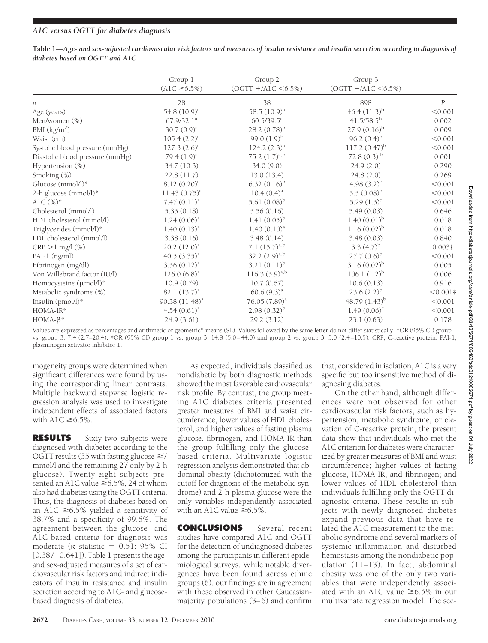**Table 1—***Age- and sex-adjusted cardiovascular risk factors and measures of insulin resistance and insulin secretion according to diagnosis of diabetes based on OGTT and A1C*

|                                 | Group 1<br>$(A1C \ge 6.5\%)$ | Group 2<br>$(OGTT + /A1C < 6.5%)$ | Group 3<br>$(OGTT - /A1C < 6.5%)$ |                  |
|---------------------------------|------------------------------|-----------------------------------|-----------------------------------|------------------|
| п                               | 28                           | 38                                | 898                               | $\boldsymbol{P}$ |
| Age (years)                     | 54.8 $(10.9)^a$              | 58.5 $(10.9)^a$                   | 46.4 $(11.3)^{b}$                 | < 0.001          |
| Men/women $(\%)$                | 67.9/32.1 <sup>a</sup>       | $60.5/39.5^a$                     | $41.5/58.5^{\rm b}$               | 0.002            |
| BMI $(kg/m2)$                   | 30.7 $(0.9)^a$               | 28.2 $(0.78)^{b}$                 | $27.9(0.16)^{b}$                  | 0.009            |
| Waist (cm)                      | $105.4 (2.2)^a$              | 99.0 $(1.9)^{b}$                  | 96.2 $(0.4)^{b}$                  | < 0.001          |
| Systolic blood pressure (mmHg)  | $127.3 (2.6)^a$              | 124.2 $(2.3)^a$                   | 117.2 $(0.47)^{b}$                | < 0.001          |
| Diastolic blood pressure (mmHg) | 79.4 $(1.9)^a$               | 75.2 $(1.7)^{a,b}$                | 72.8 $(0.3)$ <sup>b</sup>         | 0.001            |
| Hypertension (%)                | 34.7 (10.3)                  | 34.0(9.0)                         | 24.9(2.0)                         | 0.290            |
| Smoking (%)                     | 22.8 (11.7)                  | 13.0(13.4)                        | 24.8(2.0)                         | 0.269            |
| Glucose (mmol/l)*               | $8.12 (0.20)^a$              | $6.32 (0.16)^{b}$                 | 4.98 $(3.2)^c$                    | < 0.001          |
| 2-h glucose (mmol/l)*           | 11.43 $(0.75)^a$             | $10.4 (0.4)^a$                    | $5.5(0.08)^{b}$                   | < 0.001          |
| A1C $(\%)^*$                    | $7.47 (0.11)^a$              | 5.61 $(0.08)^{b}$                 | 5.29 $(1.5)^c$                    | < 0.001          |
| Cholesterol (mmol/l)            | 5.35(0.18)                   | 5.56(0.16)                        | 5.49(0.03)                        | 0.646            |
| HDL cholesterol (mmol/l)        | $1.24 (0.06)^a$              | 1.41 $(0.05)^{b}$                 | $1.40(0.01)^{b}$                  | 0.018            |
| Triglycerides (mmol/l)*         | $1.40 (0.13)^a$              | 1.40 (0.10) <sup>a</sup>          | $1.16(0.02)^{b}$                  | 0.018            |
| LDL cholesterol (mmol/l)        | 3.38(0.16)                   | 3.48(0.14)                        | 3.48(0.03)                        | 0.840            |
| $CRP > 1$ mg/l $(\%)$           | $20.2 (12.0)^a$              | 7.1 $(15.7)^{a,b}$                | 3.3 $(4.7)^{b}$                   | $0.003\dagger$   |
| PAI-1 (ng/ml)                   | 40.5 $(3.35)^a$              | 32.2 $(2.9)^{a,b}$                | $27.7(0.6)^{b}$                   | < 0.001          |
| Fibrinogen (mg/dl)              | $3.56 (0.12)^a$              | $3.21(0.11)^{b}$                  | $3.16(0.02)^{b}$                  | 0.005            |
| Von Willebrand factor (IU/l)    | 126.0 $(6.8)^a$              | 116.3 $(5.9)^{a,b}$               | $106.1 (1.2)^{b}$                 | 0.006            |
| Homocysteine (µmol/l)*          | 10.9(0.79)                   | 10.7(0.67)                        | 10.6(0.13)                        | 0.916            |
| Metabolic syndrome (%)          | 82.1 $(13.7)^a$              | $60.6 (9.3)^a$                    | $23.6 (2.2)^{b}$                  | < 0.001          |
| Insulin (pmol/l)*               | 90.38 $(11.48)^a$            | 76.05 (7.89) <sup>a</sup>         | 48.79 $(1.43)^{b}$                | < 0.001          |
| HOMA-IR*                        | $4.54 (0.61)^a$              | $2.98(0.32)^{b}$                  | $1.49(0.06)^c$                    | < 0.001          |
| $HOMA-\beta*$                   | 24.9 (3.61)                  | 29.2 (3.12)                       | 23.1(0.63)                        | 0.178            |

Values are expressed as percentages and arithmetic or geometric\* means (SE). Values followed by the same letter do not differ statistically. †OR (95% CI) group 1 vs. group 3: 7.4 (2.7–20.4). ‡OR (95% CI) group 1 vs. group 3: 14.8 (5.0–44.0) and group 2 vs. group 3: 5.0 (2.4–10.5). CRP, C-reactive protein. PAI-1, plasminogen activator inhibitor 1.

mogeneity groups were determined when significant differences were found by using the corresponding linear contrasts. Multiple backward stepwise logistic regression analysis was used to investigate independent effects of associated factors with  $A1C \geq 6.5\%$ .

**RESULTS** — Sixty-two subjects were diagnosed with diabetes according to the OGTT results (35 with fasting glucose  $\geq 7$ mmol/l and the remaining 27 only by 2-h glucose). Twenty-eight subjects presented an A1C value  $\geq 6.5\%$ , 24 of whom also had diabetes using the OGTT criteria. Thus, the diagnosis of diabetes based on an A1C  $\geq$ 6.5% yielded a sensitivity of 38.7% and a specificity of 99.6%. The agreement between the glucose- and A1C-based criteria for diagnosis was moderate ( $\kappa$  statistic = 0.51; 95% CI [0.387–0.641]). Table 1 presents the ageand sex-adjusted measures of a set of cardiovascular risk factors and indirect indicators of insulin resistance and insulin secretion according to A1C- and glucosebased diagnosis of diabetes.

As expected, individuals classified as nondiabetic by both diagnostic methods showed the most favorable cardiovascular risk profile. By contrast, the group meeting A1C diabetes criteria presented greater measures of BMI and waist circumference, lower values of HDL cholesterol, and higher values of fasting plasma glucose, fibrinogen, and HOMA-IR than the group fulfilling only the glucosebased criteria. Multivariate logistic regression analysis demonstrated that abdominal obesity (dichotomized with the cutoff for diagnosis of the metabolic syndrome) and 2-h plasma glucose were the only variables independently associated with an A1C value  $\geq 6.5\%$ .

**CONCLUSIONS** — Several recent studies have compared A1C and OGTT for the detection of undiagnosed diabetes among the participants in different epidemiological surveys. While notable divergences have been found across ethnic groups (6), our findings are in agreement with those observed in other Caucasianmajority populations (3–6) and confirm that, considered in isolation, A1C is a very specific but too insensitive method of diagnosing diabetes.

On the other hand, although differences were not observed for other cardiovascular risk factors, such as hypertension, metabolic syndrome, or elevation of C-reactive protein, the present data show that individuals who met the A1C criterion for diabetes were characterized by greater measures of BMI and waist circumference; higher values of fasting glucose, HOMA-IR, and fibrinogen; and lower values of HDL cholesterol than individuals fulfilling only the OGTT diagnostic criteria. These results in subjects with newly diagnosed diabetes expand previous data that have related the A1C measurement to the metabolic syndrome and several markers of systemic inflammation and disturbed hemostasis among the nondiabetic population (11–13). In fact, abdominal obesity was one of the only two variables that were independently associated with an A1C value  $\geq 6.5\%$  in our multivariate regression model. The sec